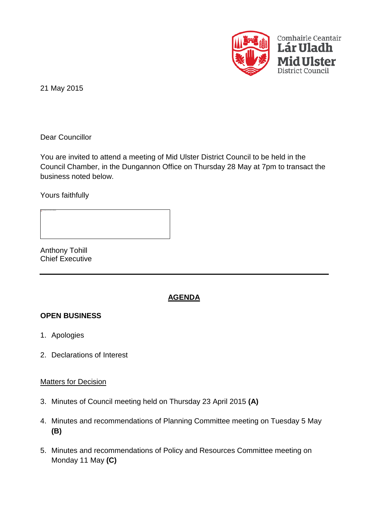

21 May 2015

Dear Councillor

You are invited to attend a meeting of Mid Ulster District Council to be held in the Council Chamber, in the Dungannon Office on Thursday 28 May at 7pm to transact the business noted below.

Yours faithfully

Anthony Tohill Chief Executive

# **AGENDA**

#### **OPEN BUSINESS**

- 1. Apologies
- 2. Declarations of Interest

#### Matters for Decision

- 3. Minutes of Council meeting held on Thursday 23 April 2015 **(A)**
- 4. Minutes and recommendations of Planning Committee meeting on Tuesday 5 May **(B)**
- 5. Minutes and recommendations of Policy and Resources Committee meeting on Monday 11 May **(C)**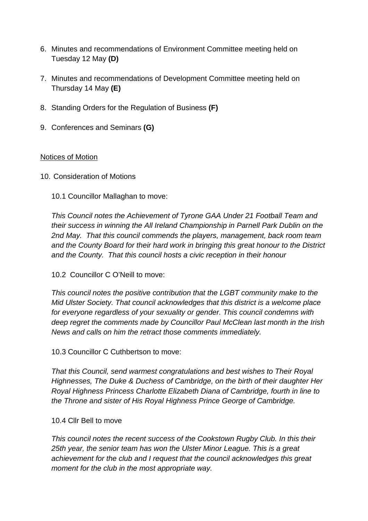- 6. Minutes and recommendations of Environment Committee meeting held on Tuesday 12 May **(D)**
- 7. Minutes and recommendations of Development Committee meeting held on Thursday 14 May **(E)**
- 8. Standing Orders for the Regulation of Business **(F)**
- 9. Conferences and Seminars **(G)**

# Notices of Motion

- 10. Consideration of Motions
	- 10.1 Councillor Mallaghan to move:

*This Council notes the Achievement of Tyrone GAA Under 21 Football Team and their success in winning the All Ireland Championship in Parnell Park Dublin on the 2nd May. That this council commends the players, management, back room team and the County Board for their hard work in bringing this great honour to the District and the County. That this council hosts a civic reception in their honour*

10.2 Councillor C O'Neill to move:

*This council notes the positive contribution that the LGBT community make to the Mid Ulster Society. That council acknowledges that this district is a welcome place for everyone regardless of your sexuality or gender. This council condemns with deep regret the comments made by Councillor Paul McClean last month in the Irish News and calls on him the retract those comments immediately.*

10.3 Councillor C Cuthbertson to move:

*That this Council, send warmest congratulations and best wishes to Their Royal Highnesses, The Duke & Duchess of Cambridge, on the birth of their daughter Her Royal Highness Princess Charlotte Elizabeth Diana of Cambridge, fourth in line to the Throne and sister of His Royal Highness Prince George of Cambridge.*

#### 10.4 Cllr Bell to move

*This council notes the recent success of the Cookstown Rugby Club. In this their 25th year, the senior team has won the Ulster Minor League. This is a great achievement for the club and I request that the council acknowledges this great moment for the club in the most appropriate way.*